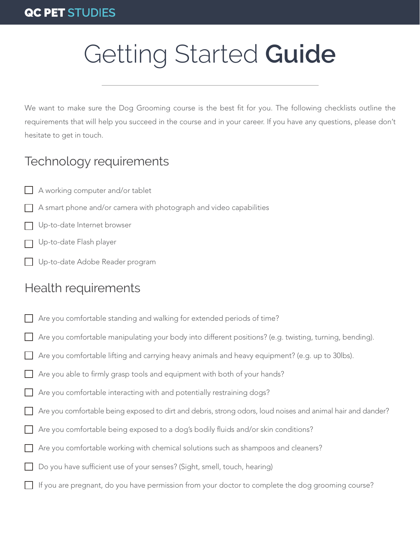# Getting Started **Guide**

We want to make sure the Dog Grooming course is the best fit for you. The following checklists outline the requirements that will help you succeed in the course and in your career. If you have any questions, please don't hesitate to get in touch.

## Technology requirements

- A working computer and/or tablet
- A smart phone and/or camera with photograph and video capabilities
- Up-to-date Internet browser
- Up-to-date Flash player
- Up-to-date Adobe Reader program

## Health requirements

- Are you comfortable standing and walking for extended periods of time?
- Are you comfortable manipulating your body into different positions? (e.g. twisting, turning, bending).
- Are you comfortable lifting and carrying heavy animals and heavy equipment? (e.g. up to 30lbs).
- Are you able to firmly grasp tools and equipment with both of your hands?
- Are you comfortable interacting with and potentially restraining dogs?
- Are you comfortable being exposed to dirt and debris, strong odors, loud noises and animal hair and dander?
- Are you comfortable being exposed to a dog's bodily fluids and/or skin conditions?
- Are you comfortable working with chemical solutions such as shampoos and cleaners?
- Do you have sufficient use of your senses? (Sight, smell, touch, hearing)
- If you are pregnant, do you have permission from your doctor to complete the dog grooming course?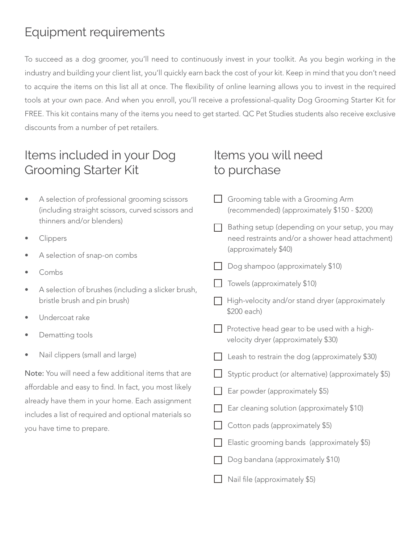# Equipment requirements

To succeed as a dog groomer, you'll need to continuously invest in your toolkit. As you begin working in the industry and building your client list, you'll quickly earn back the cost of your kit. Keep in mind that you don't need to acquire the items on this list all at once. The flexibility of online learning allows you to invest in the required tools at your own pace. And when you enroll, you'll receive a professional-quality Dog Grooming Starter Kit for FREE. This kit contains many of the items you need to get started. QC Pet Studies students also receive exclusive discounts from a number of pet retailers.

## Items included in your Dog Grooming Starter Kit

- A selection of professional grooming scissors (including straight scissors, curved scissors and thinners and/or blenders)
- **Clippers**
- A selection of snap-on combs
- Combs
- A selection of brushes (including a slicker brush, bristle brush and pin brush)
- Undercoat rake
- Dematting tools
- Nail clippers (small and large)

Note: You will need a few additional items that are affordable and easy to find. In fact, you most likely already have them in your home. Each assignment includes a list of required and optional materials so you have time to prepare.

## Items you will need to purchase

- Grooming table with a Grooming Arm (recommended) (approximately \$150 - \$200)
- $\Box$  Bathing setup (depending on your setup, you may need restraints and/or a shower head attachment) (approximately \$40)
- Dog shampoo (approximately \$10)
- $\Box$  Towels (approximately \$10)
- $\Box$  High-velocity and/or stand dryer (approximately \$200 each)
- $\Box$  Protective head gear to be used with a highvelocity dryer (approximately \$30)
- $\Box$  Leash to restrain the dog (approximately \$30)
- $\Box$  Styptic product (or alternative) (approximately \$5)
- Ear powder (approximately \$5)
- Ear cleaning solution (approximately \$10)
- Cotton pads (approximately \$5)
- Elastic grooming bands (approximately \$5)
- Dog bandana (approximately \$10)
- Nail file (approximately \$5)